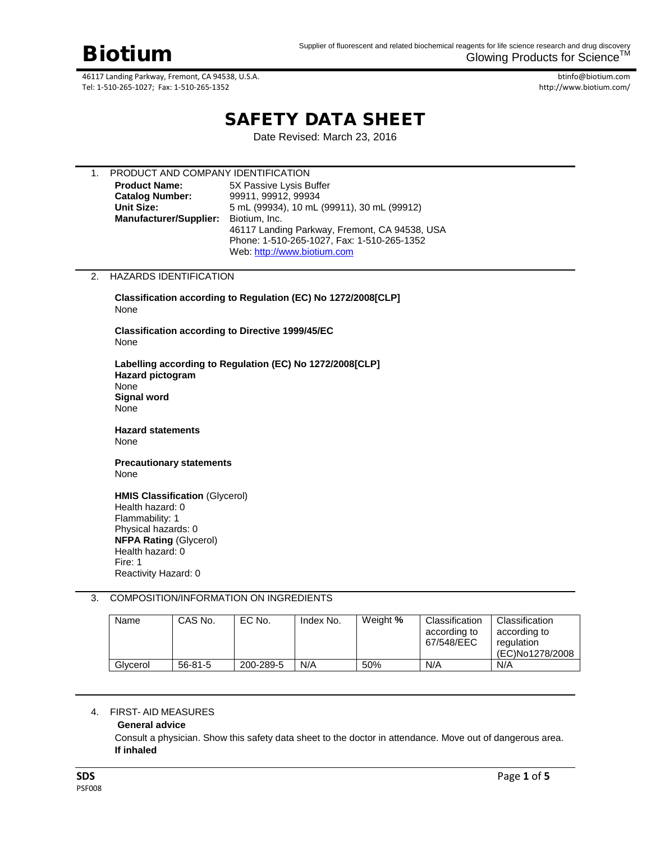btinfo@biotium.com http://www.biotium.com/

# SAFETY DATA SHEET

Date Revised: March 23, 2016

| 1. | PRODUCT AND COMPANY IDENTIFICATION |                                               |  |  |  |
|----|------------------------------------|-----------------------------------------------|--|--|--|
|    | <b>Product Name:</b>               | 5X Passive Lysis Buffer                       |  |  |  |
|    | <b>Catalog Number:</b>             | 99911, 99912, 99934                           |  |  |  |
|    | Unit Size:                         | 5 mL (99934), 10 mL (99911), 30 mL (99912)    |  |  |  |
|    | <b>Manufacturer/Supplier:</b>      | Biotium, Inc.                                 |  |  |  |
|    |                                    | 46117 Landing Parkway, Fremont, CA 94538, USA |  |  |  |
|    |                                    | Phone: 1-510-265-1027, Fax: 1-510-265-1352    |  |  |  |
|    |                                    | Web: http://www.biotium.com                   |  |  |  |

# 2. HAZARDS IDENTIFICATION

**Classification according to Regulation (EC) No 1272/2008[CLP]** None

**Classification according to Directive 1999/45/EC**  None

**Labelling according to Regulation (EC) No 1272/2008[CLP] Hazard pictogram**  None **Signal word**  None

**Hazard statements**  None

#### **Precautionary statements** None

**HMIS Classification** (Glycerol) Health hazard: 0 Flammability: 1 Physical hazards: 0 **NFPA Rating** (Glycerol) Health hazard: 0 Fire: 1 Reactivity Hazard: 0

# 3. COMPOSITION/INFORMATION ON INGREDIENTS

| Name     | CAS No.       | EC No.    | Index No. | Weight % | Classification<br>according to<br>67/548/EEC | Classification<br>according to<br>regulation<br>(EC)No1278/2008 |
|----------|---------------|-----------|-----------|----------|----------------------------------------------|-----------------------------------------------------------------|
| Glycerol | $56 - 81 - 5$ | 200-289-5 | N/A       | 50%      | N/A                                          | N/A                                                             |

#### 4. FIRST- AID MEASURES

### **General advice**

Consult a physician. Show this safety data sheet to the doctor in attendance. Move out of dangerous area. **If inhaled**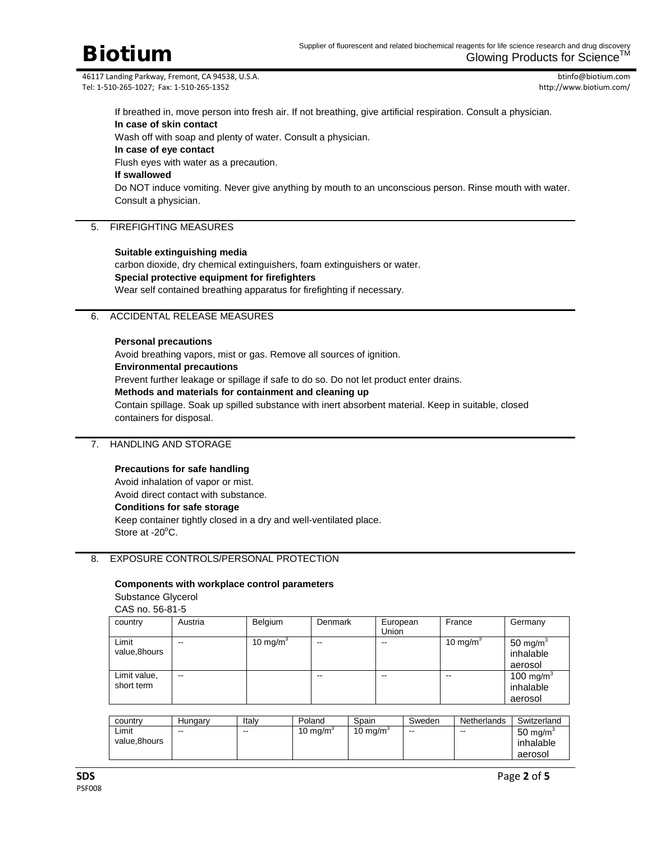btinfo@biotium.com http://www.biotium.com/

If breathed in, move person into fresh air. If not breathing, give artificial respiration. Consult a physician. **In case of skin contact**

Wash off with soap and plenty of water. Consult a physician.

**In case of eye contact**

Flush eyes with water as a precaution.

# **If swallowed**

Do NOT induce vomiting. Never give anything by mouth to an unconscious person. Rinse mouth with water. Consult a physician.

# 5. FIREFIGHTING MEASURES

# **Suitable extinguishing media**

carbon dioxide, dry chemical extinguishers, foam extinguishers or water. **Special protective equipment for firefighters** Wear self contained breathing apparatus for firefighting if necessary.

# 6. ACCIDENTAL RELEASE MEASURES

#### **Personal precautions**

Avoid breathing vapors, mist or gas. Remove all sources of ignition. **Environmental precautions** Prevent further leakage or spillage if safe to do so. Do not let product enter drains. **Methods and materials for containment and cleaning up** Contain spillage. Soak up spilled substance with inert absorbent material. Keep in suitable, closed containers for disposal.

# 7. HANDLING AND STORAGE

#### **Precautions for safe handling**

Avoid inhalation of vapor or mist. Avoid direct contact with substance. **Conditions for safe storage** Keep container tightly closed in a dry and well-ventilated place. Store at -20<sup>o</sup>C.

# 8. EXPOSURE CONTROLS/PERSONAL PROTECTION

#### **Components with workplace control parameters**

Substance Glycerol CAS no. 56-81-5

| CHO 110. 30-01-3           |         |                      |                          |                   |                      |                                               |
|----------------------------|---------|----------------------|--------------------------|-------------------|----------------------|-----------------------------------------------|
| country                    | Austria | Belgium              | Denmark                  | European<br>Union | France               | Germany                                       |
| Limit<br>value,8hours      | --      | 10 mg/m <sup>3</sup> | $- -$                    | --                | 10 mg/m <sup>3</sup> | 50 mg/m $3$<br>inhalable<br>aerosol           |
| Limit value,<br>short term | --      |                      | $\overline{\phantom{m}}$ | $- -$             | --                   | 100 mg/m <sup>3</sup><br>inhalable<br>aerosol |

| country               | Hungary | Italy | Poland             | Spain              | Sweden | Netherlands | Switzerland                                 |
|-----------------------|---------|-------|--------------------|--------------------|--------|-------------|---------------------------------------------|
| Limit<br>value.8hours | $- -$   | $-$   | 10 mg/m $^{\circ}$ | 10 mg/m $^{\circ}$ | $- -$  | $- -$       | $50 \text{ mg/m}^3$<br>inhalable<br>aerosol |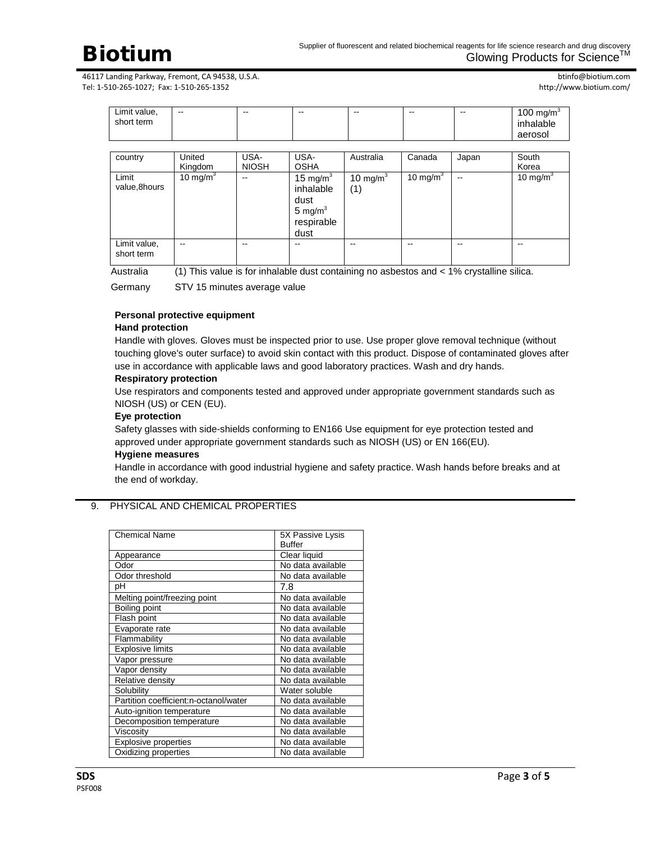btinfo@biotium.com http://www.biotium.com/

| Limit value,<br>short term |                   | --                   | --                                                                   | --                 | --          | --                | 100 mg/m $3$<br>inhalable<br>aerosol |
|----------------------------|-------------------|----------------------|----------------------------------------------------------------------|--------------------|-------------|-------------------|--------------------------------------|
|                            |                   |                      |                                                                      |                    |             |                   |                                      |
| country                    | United<br>Kingdom | USA-<br><b>NIOSH</b> | USA-<br><b>OSHA</b>                                                  | Australia          | Canada      | Japan             | South<br>Korea                       |
| Limit<br>value,8hours      | 10 mg/m $3$       | --                   | 15 mg/ $m3$<br>inhalable<br>dust<br>5 mg/ $m3$<br>respirable<br>dust | 10 mg/m $3$<br>(1) | 10 mg/m $3$ | $\qquad \qquad -$ | 10 mg/m $3$                          |
| Limit value,<br>short term | --                | --                   | --                                                                   | --                 | --          | --                | --                                   |

Australia (1) This value is for inhalable dust containing no asbestos and < 1% crystalline silica.

Germany STV 15 minutes average value

### **Personal protective equipment Hand protection**

# Handle with gloves. Gloves must be inspected prior to use. Use proper glove removal technique (without touching glove's outer surface) to avoid skin contact with this product. Dispose of contaminated gloves after use in accordance with applicable laws and good laboratory practices. Wash and dry hands.

# **Respiratory protection**

Use respirators and components tested and approved under appropriate government standards such as NIOSH (US) or CEN (EU).

# **Eye protection**

Safety glasses with side-shields conforming to EN166 Use equipment for eye protection tested and approved under appropriate government standards such as NIOSH (US) or EN 166(EU).

#### **Hygiene measures**

Handle in accordance with good industrial hygiene and safety practice. Wash hands before breaks and at the end of workday.

# 9. PHYSICAL AND CHEMICAL PROPERTIES

| <b>Chemical Name</b>                  | 5X Passive Lysis<br><b>Buffer</b> |
|---------------------------------------|-----------------------------------|
|                                       |                                   |
| Appearance                            | Clear liquid                      |
| Odor                                  | No data available                 |
| Odor threshold                        | No data available                 |
| рH                                    | 7.8                               |
| Melting point/freezing point          | No data available                 |
| Boiling point                         | No data available                 |
| Flash point                           | No data available                 |
| Evaporate rate                        | No data available                 |
| Flammability                          | No data available                 |
| <b>Explosive limits</b>               | No data available                 |
| Vapor pressure                        | No data available                 |
| Vapor density                         | No data available                 |
| Relative density                      | No data available                 |
| Solubility                            | Water soluble                     |
| Partition coefficient:n-octanol/water | No data available                 |
| Auto-ignition temperature             | No data available                 |
| Decomposition temperature             | No data available                 |
| Viscosity                             | No data available                 |
| <b>Explosive properties</b>           | No data available                 |
| Oxidizing properties                  | No data available                 |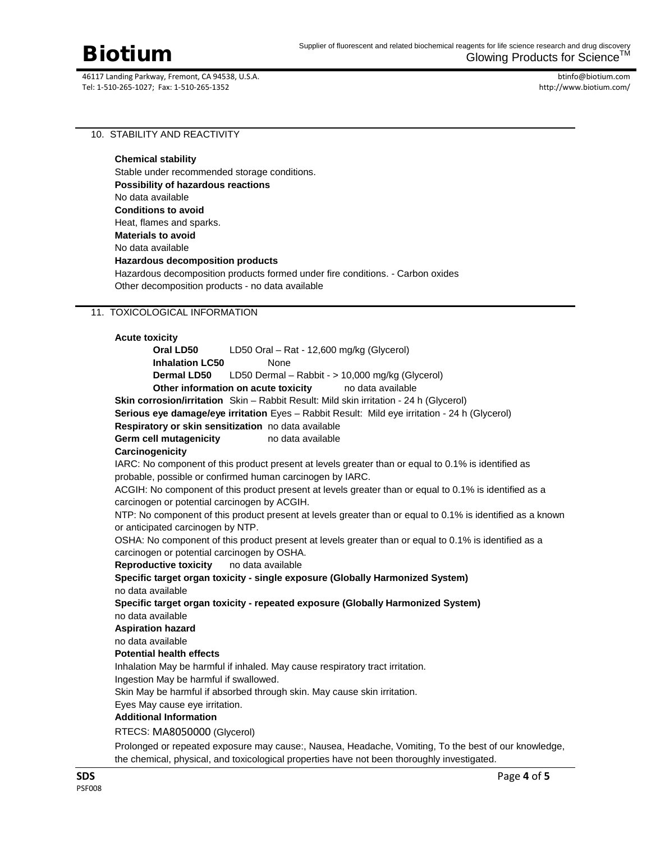btinfo@biotium.com http://www.biotium.com/

# 10. STABILITY AND REACTIVITY

**Chemical stability** Stable under recommended storage conditions. **Possibility of hazardous reactions** No data available **Conditions to avoid** Heat, flames and sparks. **Materials to avoid** No data available **Hazardous decomposition products** Hazardous decomposition products formed under fire conditions. - Carbon oxides Other decomposition products - no data available

# 11. TOXICOLOGICAL INFORMATION

# **Acute toxicity Oral LD50** LD50 Oral – Rat - 12,600 mg/kg (Glycerol) **Inhalation LC50** None **Dermal LD50** LD50 Dermal – Rabbit - > 10,000 mg/kg (Glycerol) **Other information on acute toxicity** no data available **Skin corrosion/irritation** Skin – Rabbit Result: Mild skin irritation - 24 h (Glycerol) **Serious eye damage/eye irritation** Eyes – Rabbit Result: Mild eye irritation - 24 h (Glycerol) **Respiratory or skin sensitization** no data available **Germ cell mutagenicity** no data available **Carcinogenicity** IARC: No component of this product present at levels greater than or equal to 0.1% is identified as probable, possible or confirmed human carcinogen by IARC. ACGIH: No component of this product present at levels greater than or equal to 0.1% is identified as a carcinogen or potential carcinogen by ACGIH. NTP: No component of this product present at levels greater than or equal to 0.1% is identified as a known or anticipated carcinogen by NTP. OSHA: No component of this product present at levels greater than or equal to 0.1% is identified as a carcinogen or potential carcinogen by OSHA. **Reproductive toxicity** no data available **Specific target organ toxicity - single exposure (Globally Harmonized System)** no data available **Specific target organ toxicity - repeated exposure (Globally Harmonized System)** no data available **Aspiration hazard** no data available **Potential health effects** Inhalation May be harmful if inhaled. May cause respiratory tract irritation. Ingestion May be harmful if swallowed. Skin May be harmful if absorbed through skin. May cause skin irritation. Eyes May cause eye irritation. **Additional Information** RTECS: MA8050000 (Glycerol) Prolonged or repeated exposure may cause:, Nausea, Headache, Vomiting, To the best of our knowledge, the chemical, physical, and toxicological properties have not been thoroughly investigated.